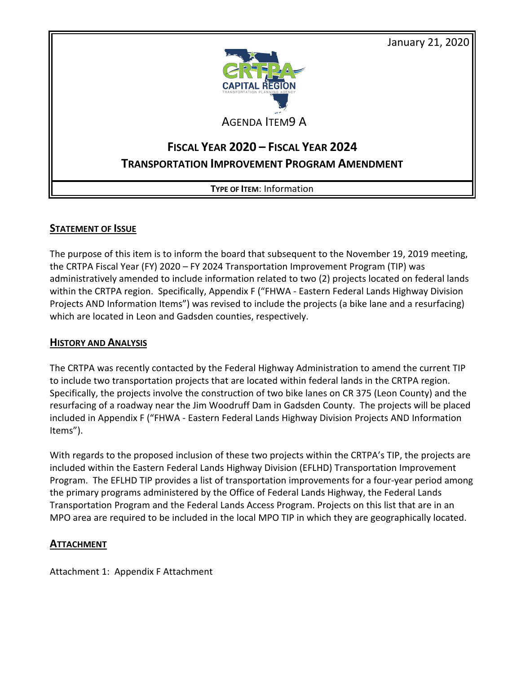January 21, 2020



AGENDA ITEM9 A

# **FISCAL YEAR 2020 – FISCAL YEAR 2024 TRANSPORTATION IMPROVEMENT PROGRAM AMENDMENT**

**TYPE OF ITEM**: Information

## **STATEMENT OF ISSUE**

The purpose of this item is to inform the board that subsequent to the November 19, 2019 meeting, the CRTPA Fiscal Year (FY) 2020 – FY 2024 Transportation Improvement Program (TIP) was administratively amended to include information related to two (2) projects located on federal lands within the CRTPA region. Specifically, Appendix F ("FHWA - Eastern Federal Lands Highway Division Projects AND Information Items") was revised to include the projects (a bike lane and a resurfacing) which are located in Leon and Gadsden counties, respectively.

#### **HISTORY AND ANALYSIS**

The CRTPA was recently contacted by the Federal Highway Administration to amend the current TIP to include two transportation projects that are located within federal lands in the CRTPA region. Specifically, the projects involve the construction of two bike lanes on CR 375 (Leon County) and the resurfacing of a roadway near the Jim Woodruff Dam in Gadsden County. The projects will be placed included in Appendix F ("FHWA - Eastern Federal Lands Highway Division Projects AND Information Items").

With regards to the proposed inclusion of these two projects within the CRTPA's TIP, the projects are included within the Eastern Federal Lands Highway Division (EFLHD) Transportation Improvement Program. The EFLHD TIP provides a list of transportation improvements for a four-year period among the primary programs administered by the Office of Federal Lands Highway, the Federal Lands Transportation Program and the Federal Lands Access Program. Projects on this list that are in an MPO area are required to be included in the local MPO TIP in which they are geographically located.

### **ATTACHMENT**

Attachment 1: Appendix F Attachment